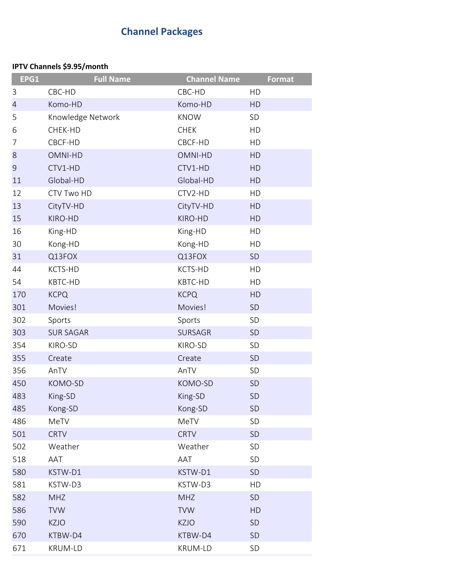## **Channel Packages**

## **IPTV Channels \$9.95/month**

| EPG1           | <b>Full Name</b>  | <b>Channel Name</b> | <b>Format</b> |
|----------------|-------------------|---------------------|---------------|
| 3              | CBC-HD            | CBC-HD              | HD            |
| $\overline{4}$ | Komo-HD           | Komo-HD             | HD            |
| 5              | Knowledge Network | <b>KNOW</b>         | SD            |
| 6              | CHEK-HD           | <b>CHEK</b>         | HD            |
| 7              | CBCF-HD           | CBCF-HD             | HD            |
| 8              | OMNI-HD           | OMNI-HD             | HD            |
| 9              | CTV1-HD           | CTV1-HD             | HD            |
| 11             | Global-HD         | Global-HD           | HD            |
| 12             | CTV Two HD        | CTV2-HD             | HD            |
| 13             | CityTV-HD         | CityTV-HD           | HD            |
| 15             | KIRO-HD           | KIRO-HD             | HD            |
| 16             | King-HD           | King-HD             | HD            |
| 30             | Kong-HD           | Kong-HD             | HD            |
| 31             | Q13FOX            | Q13FOX              | <b>SD</b>     |
| 44             | KCTS-HD           | KCTS-HD             | HD            |
| 54             | KBTC-HD           | KBTC-HD             | HD            |
| 170            | <b>KCPQ</b>       | <b>KCPQ</b>         | HD            |
| 301            | Movies!           | Movies!             | SD            |
| 302            | Sports            | Sports              | SD            |
| 303            | <b>SUR SAGAR</b>  | <b>SURSAGR</b>      | SD            |
| 354            | KIRO-SD           | KIRO-SD             | SD            |
| 355            | Create            | Create              | SD            |
| 356            | AnTV              | AnTV                | SD            |
| 450            | KOMO-SD           | KOMO-SD             | <b>SD</b>     |
| 483            | King-SD           | King-SD             | <b>SD</b>     |
| 485            | Kong-SD           | Kong-SD             | <b>SD</b>     |
| 486            | MeTV              | MeTV                | SD            |
| 501            | <b>CRTV</b>       | <b>CRTV</b>         | SD            |
| 502            | Weather           | Weather             | SD            |
| 518            | AAT               | AAT                 | SD            |
| 580            | KSTW-D1           | KSTW-D1             | SD            |
| 581            | KSTW-D3           | KSTW-D3             | HD            |
| 582            | <b>MHZ</b>        | <b>MHZ</b>          | SD            |
| 586            | <b>TVW</b>        | <b>TVW</b>          | HD            |
| 590            | KZJO              | <b>KZJO</b>         | SD            |
| 670            | KTBW-D4           | KTBW-D4             | SD            |
| 671            | KRUM-LD           | KRUM-LD             | SD            |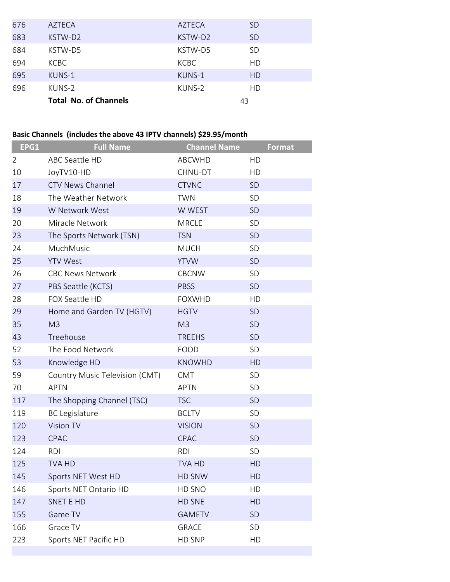| 676 | AZTECA                       | AZTECA      | SD.       |
|-----|------------------------------|-------------|-----------|
| 683 | KSTW-D2                      | KSTW-D2     | <b>SD</b> |
| 684 | KSTW-D5                      | KSTW-D5     | <b>SD</b> |
| 694 | <b>KCBC</b>                  | <b>KCBC</b> | HD        |
| 695 | KUNS-1                       | KUNS-1      | HD        |
| 696 | KUNS-2                       | KUNS-2      | HD        |
|     | <b>Total No. of Channels</b> | 43          |           |

## **Basic Channels (includes the above 43 IPTV channels) \$29.95/month**

| EPG1           | <b>Full Name</b>               | <b>Channel Name</b> | <b>Format</b> |
|----------------|--------------------------------|---------------------|---------------|
| $\overline{2}$ | ABC Seattle HD                 | ABCWHD              | HD            |
| 10             | JoyTV10-HD                     | CHNU-DT             | HD            |
| 17             | <b>CTV News Channel</b>        | <b>CTVNC</b>        | <b>SD</b>     |
| 18             | The Weather Network            | <b>TWN</b>          | <b>SD</b>     |
| 19             | W Network West                 | W WEST              | SD            |
| 20             | Miracle Network                | <b>MRCLE</b>        | <b>SD</b>     |
| 23             | The Sports Network (TSN)       | <b>TSN</b>          | SD            |
| 24             | MuchMusic                      | <b>MUCH</b>         | <b>SD</b>     |
| 25             | <b>YTV West</b>                | <b>YTVW</b>         | SD            |
| 26             | <b>CBC News Network</b>        | <b>CBCNW</b>        | <b>SD</b>     |
| 27             | PBS Seattle (KCTS)             | <b>PBSS</b>         | <b>SD</b>     |
| 28             | FOX Seattle HD                 | <b>FOXWHD</b>       | HD            |
| 29             | Home and Garden TV (HGTV)      | <b>HGTV</b>         | <b>SD</b>     |
| 35             | M <sub>3</sub>                 | M <sub>3</sub>      | <b>SD</b>     |
| 43             | Treehouse                      | <b>TREEHS</b>       | <b>SD</b>     |
| 52             | The Food Network               | <b>FOOD</b>         | <b>SD</b>     |
| 53             | Knowledge HD                   | <b>KNOWHD</b>       | HD            |
| 59             | Country Music Television (CMT) | <b>CMT</b>          | <b>SD</b>     |
| 70             | <b>APTN</b>                    | <b>APTN</b>         | SD            |
| 117            | The Shopping Channel (TSC)     | <b>TSC</b>          | <b>SD</b>     |
| 119            | <b>BC Legislature</b>          | <b>BCLTV</b>        | <b>SD</b>     |
| 120            | Vision TV                      | <b>VISION</b>       | <b>SD</b>     |
| 123            | CPAC                           | CPAC                | SD            |
| 124            | <b>RDI</b>                     | <b>RDI</b>          | <b>SD</b>     |
| 125            | <b>TVA HD</b>                  | <b>TVA HD</b>       | <b>HD</b>     |
| 145            | Sports NET West HD             | HD SNW              | HD            |
| 146            | Sports NET Ontario HD          | HD SNO              | HD            |
| 147            | <b>SNET E HD</b>               | HD SNE              | HD            |
| 155            | Game TV                        | <b>GAMETV</b>       | <b>SD</b>     |
| 166            | Grace TV                       | <b>GRACE</b>        | <b>SD</b>     |
| 223            | Sports NET Pacific HD          | HD SNP              | HD            |
|                |                                |                     |               |